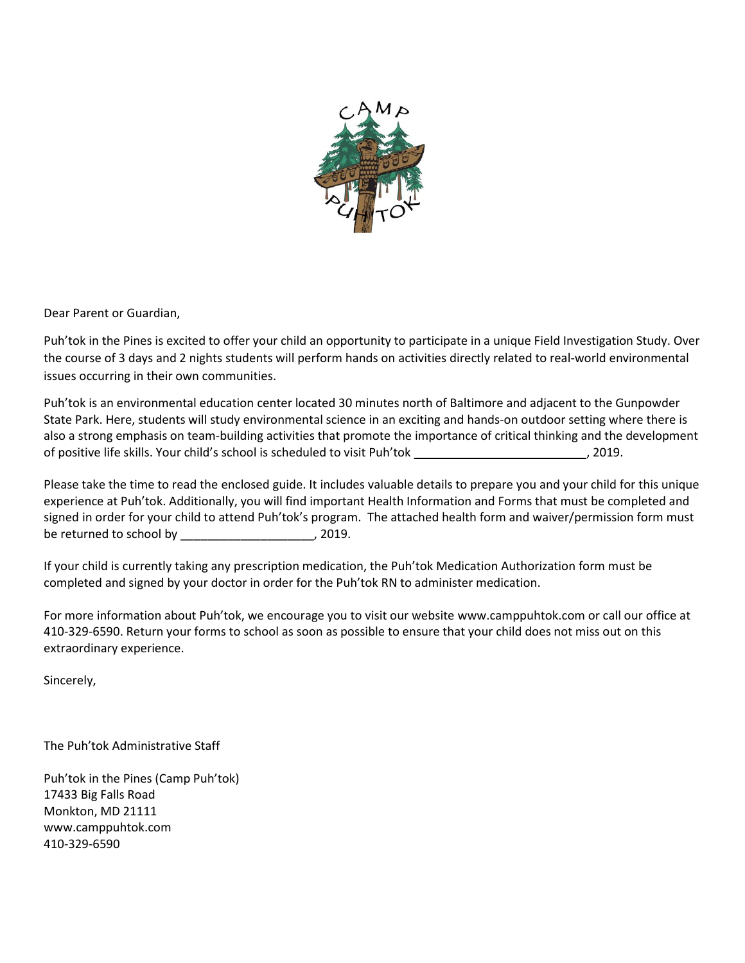

Dear Parent or Guardian,

Puh'tok in the Pines is excited to offer your child an opportunity to participate in a unique Field Investigation Study. Over the course of 3 days and 2 nights students will perform hands on activities directly related to real-world environmental issues occurring in their own communities.

Puh'tok is an environmental education center located 30 minutes north of Baltimore and adjacent to the Gunpowder State Park. Here, students will study environmental science in an exciting and hands-on outdoor setting where there is also a strong emphasis on team-building activities that promote the importance of critical thinking and the development of positive life skills. Your child's school is scheduled to visit Puh'tok \_\_\_\_\_\_\_\_\_\_\_\_\_\_\_ , 2019.

Please take the time to read the enclosed guide. It includes valuable details to prepare you and your child for this unique experience at Puh'tok. Additionally, you will find important Health Information and Forms that must be completed and signed in order for your child to attend Puh'tok's program. The attached health form and waiver/permission form must be returned to school by \_\_\_\_\_\_\_\_\_\_\_\_\_\_\_\_\_\_\_\_\_\_, 2019.

If your child is currently taking any prescription medication, the Puh'tok Medication Authorization form must be completed and signed by your doctor in order for the Puh'tok RN to administer medication.

For more information about Puh'tok, we encourage you to visit our website www.camppuhtok.com or call our office at 410-329-6590. Return your forms to school as soon as possible to ensure that your child does not miss out on this extraordinary experience.

Sincerely,

The Puh'tok Administrative Staff

Puh'tok in the Pines (Camp Puh'tok) 17433 Big Falls Road Monkton, MD 21111 www.camppuhtok.com 410-329-6590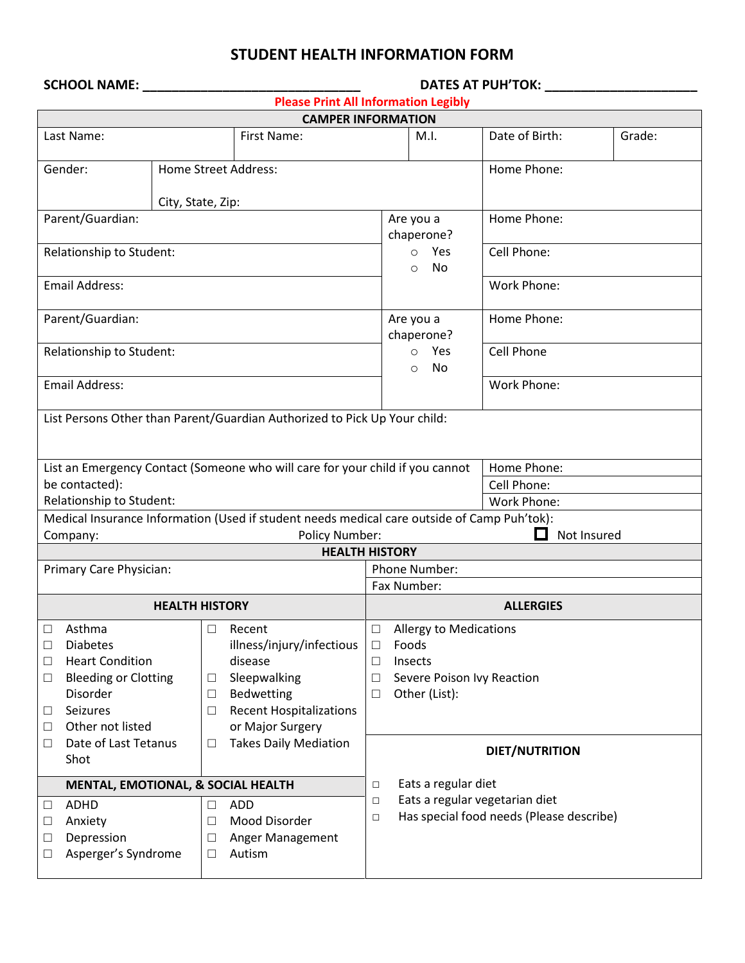| STUDENT HEALTH INFORMATION FORM |  |  |  |  |
|---------------------------------|--|--|--|--|
|---------------------------------|--|--|--|--|

|                                                     | <b>SCHOOL NAME:</b><br>DATES AT PUH'TOK:                                                                                       |                       |                                                                                                                                    |                                                                                                                                                    |                                 |                    |        |
|-----------------------------------------------------|--------------------------------------------------------------------------------------------------------------------------------|-----------------------|------------------------------------------------------------------------------------------------------------------------------------|----------------------------------------------------------------------------------------------------------------------------------------------------|---------------------------------|--------------------|--------|
|                                                     | <b>Please Print All Information Legibly</b>                                                                                    |                       |                                                                                                                                    |                                                                                                                                                    |                                 |                    |        |
|                                                     |                                                                                                                                |                       | <b>CAMPER INFORMATION</b>                                                                                                          |                                                                                                                                                    |                                 |                    |        |
|                                                     | Last Name:                                                                                                                     |                       | First Name:                                                                                                                        |                                                                                                                                                    | M.I.                            | Date of Birth:     | Grade: |
|                                                     | Gender:                                                                                                                        |                       | Home Street Address:                                                                                                               |                                                                                                                                                    |                                 | Home Phone:        |        |
|                                                     |                                                                                                                                | City, State, Zip:     |                                                                                                                                    |                                                                                                                                                    |                                 |                    |        |
|                                                     | Parent/Guardian:                                                                                                               |                       |                                                                                                                                    | Home Phone:<br>Are you a<br>chaperone?                                                                                                             |                                 |                    |        |
|                                                     | Relationship to Student:                                                                                                       |                       |                                                                                                                                    |                                                                                                                                                    | Yes<br>$\circ$<br>No<br>$\circ$ | Cell Phone:        |        |
|                                                     | <b>Email Address:</b>                                                                                                          |                       |                                                                                                                                    |                                                                                                                                                    |                                 | Work Phone:        |        |
|                                                     | Parent/Guardian:                                                                                                               |                       |                                                                                                                                    |                                                                                                                                                    | Are you a<br>chaperone?         | Home Phone:        |        |
|                                                     | Relationship to Student:                                                                                                       |                       |                                                                                                                                    |                                                                                                                                                    | Yes<br>$\circ$<br>No<br>O       | Cell Phone         |        |
|                                                     | <b>Email Address:</b>                                                                                                          |                       |                                                                                                                                    |                                                                                                                                                    |                                 | <b>Work Phone:</b> |        |
|                                                     |                                                                                                                                |                       | List Persons Other than Parent/Guardian Authorized to Pick Up Your child:                                                          |                                                                                                                                                    |                                 |                    |        |
|                                                     |                                                                                                                                |                       | List an Emergency Contact (Someone who will care for your child if you cannot                                                      |                                                                                                                                                    |                                 | Home Phone:        |        |
| be contacted):                                      |                                                                                                                                |                       |                                                                                                                                    |                                                                                                                                                    | Cell Phone:                     |                    |        |
| Relationship to Student:                            |                                                                                                                                |                       |                                                                                                                                    |                                                                                                                                                    | Work Phone:                     |                    |        |
|                                                     |                                                                                                                                |                       | Medical Insurance Information (Used if student needs medical care outside of Camp Puh'tok):                                        |                                                                                                                                                    |                                 | ш<br>Not Insured   |        |
|                                                     | Company:                                                                                                                       |                       | Policy Number:<br><b>HEALTH HISTORY</b>                                                                                            |                                                                                                                                                    |                                 |                    |        |
|                                                     | Primary Care Physician:                                                                                                        |                       |                                                                                                                                    |                                                                                                                                                    | Phone Number:                   |                    |        |
|                                                     |                                                                                                                                |                       |                                                                                                                                    | Fax Number:                                                                                                                                        |                                 |                    |        |
|                                                     |                                                                                                                                | <b>HEALTH HISTORY</b> |                                                                                                                                    | <b>ALLERGIES</b>                                                                                                                                   |                                 |                    |        |
| $\Box$<br>□<br>$\Box$<br>$\Box$<br>$\Box$<br>$\Box$ | Asthma<br><b>Diabetes</b><br><b>Heart Condition</b><br><b>Bleeding or Clotting</b><br>Disorder<br>Seizures<br>Other not listed | □<br>□<br>$\Box$<br>□ | Recent<br>illness/injury/infectious<br>disease<br>Sleepwalking<br>Bedwetting<br><b>Recent Hospitalizations</b><br>or Major Surgery | <b>Allergy to Medications</b><br>$\Box$<br>Foods<br>$\Box$<br>$\Box$<br>Insects<br>Severe Poison Ivy Reaction<br>$\Box$<br>Other (List):<br>$\Box$ |                                 |                    |        |
| $\Box$                                              | Date of Last Tetanus<br>Shot                                                                                                   | □                     | <b>Takes Daily Mediation</b>                                                                                                       | <b>DIET/NUTRITION</b>                                                                                                                              |                                 |                    |        |
|                                                     | MENTAL, EMOTIONAL, & SOCIAL HEALTH                                                                                             |                       |                                                                                                                                    | $\Box$                                                                                                                                             | Eats a regular diet             |                    |        |
| $\Box$<br>Ц<br>$\Box$<br>$\Box$                     | <b>ADHD</b><br>Anxiety<br>Depression<br>Asperger's Syndrome                                                                    | $\Box$<br>□<br>□<br>□ | <b>ADD</b><br>Mood Disorder<br>Anger Management<br>Autism                                                                          | Eats a regular vegetarian diet<br>$\Box$<br>Has special food needs (Please describe)<br>$\Box$                                                     |                                 |                    |        |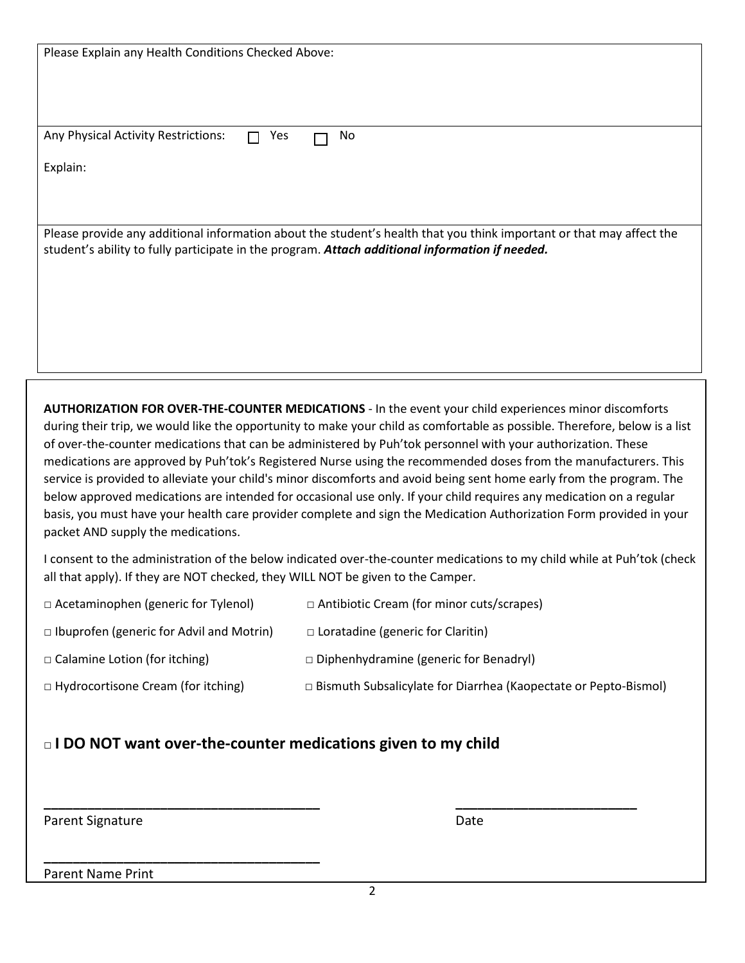| Please Explain any Health Conditions Checked Above:                             |                                                                                                                                                                                                                                                                                                                                                                                                                                                                                                                                                                                                                                                                                                                                                                                                                                                |
|---------------------------------------------------------------------------------|------------------------------------------------------------------------------------------------------------------------------------------------------------------------------------------------------------------------------------------------------------------------------------------------------------------------------------------------------------------------------------------------------------------------------------------------------------------------------------------------------------------------------------------------------------------------------------------------------------------------------------------------------------------------------------------------------------------------------------------------------------------------------------------------------------------------------------------------|
|                                                                                 |                                                                                                                                                                                                                                                                                                                                                                                                                                                                                                                                                                                                                                                                                                                                                                                                                                                |
|                                                                                 |                                                                                                                                                                                                                                                                                                                                                                                                                                                                                                                                                                                                                                                                                                                                                                                                                                                |
| Any Physical Activity Restrictions:<br>Yes<br>П                                 | No                                                                                                                                                                                                                                                                                                                                                                                                                                                                                                                                                                                                                                                                                                                                                                                                                                             |
| Explain:                                                                        |                                                                                                                                                                                                                                                                                                                                                                                                                                                                                                                                                                                                                                                                                                                                                                                                                                                |
|                                                                                 |                                                                                                                                                                                                                                                                                                                                                                                                                                                                                                                                                                                                                                                                                                                                                                                                                                                |
|                                                                                 | Please provide any additional information about the student's health that you think important or that may affect the<br>student's ability to fully participate in the program. Attach additional information if needed.                                                                                                                                                                                                                                                                                                                                                                                                                                                                                                                                                                                                                        |
|                                                                                 |                                                                                                                                                                                                                                                                                                                                                                                                                                                                                                                                                                                                                                                                                                                                                                                                                                                |
| packet AND supply the medications.                                              | AUTHORIZATION FOR OVER-THE-COUNTER MEDICATIONS - In the event your child experiences minor discomforts<br>during their trip, we would like the opportunity to make your child as comfortable as possible. Therefore, below is a list<br>of over-the-counter medications that can be administered by Puh'tok personnel with your authorization. These<br>medications are approved by Puh'tok's Registered Nurse using the recommended doses from the manufacturers. This<br>service is provided to alleviate your child's minor discomforts and avoid being sent home early from the program. The<br>below approved medications are intended for occasional use only. If your child requires any medication on a regular<br>basis, you must have your health care provider complete and sign the Medication Authorization Form provided in your |
| all that apply). If they are NOT checked, they WILL NOT be given to the Camper. | I consent to the administration of the below indicated over-the-counter medications to my child while at Puh'tok (check                                                                                                                                                                                                                                                                                                                                                                                                                                                                                                                                                                                                                                                                                                                        |
| □ Acetaminophen (generic for Tylenol)                                           | □ Antibiotic Cream (for minor cuts/scrapes)                                                                                                                                                                                                                                                                                                                                                                                                                                                                                                                                                                                                                                                                                                                                                                                                    |
| $\Box$ Ibuprofen (generic for Advil and Motrin)                                 | $\Box$ Loratadine (generic for Claritin)                                                                                                                                                                                                                                                                                                                                                                                                                                                                                                                                                                                                                                                                                                                                                                                                       |
| □ Calamine Lotion (for itching)                                                 | $\Box$ Diphenhydramine (generic for Benadryl)                                                                                                                                                                                                                                                                                                                                                                                                                                                                                                                                                                                                                                                                                                                                                                                                  |
| □ Hydrocortisone Cream (for itching)                                            | □ Bismuth Subsalicylate for Diarrhea (Kaopectate or Pepto-Bismol)                                                                                                                                                                                                                                                                                                                                                                                                                                                                                                                                                                                                                                                                                                                                                                              |
| I DO NOT want over-the-counter medications given to my child                    |                                                                                                                                                                                                                                                                                                                                                                                                                                                                                                                                                                                                                                                                                                                                                                                                                                                |

Parent Signature Date

Parent Name Print

**\_\_\_\_\_\_\_\_\_\_\_\_\_\_\_\_\_\_\_\_\_\_\_\_\_\_\_\_\_\_\_\_\_\_\_\_\_\_** 

**\_\_\_\_\_\_\_\_\_\_\_\_\_\_\_\_\_\_\_\_\_\_\_\_\_\_\_\_\_\_\_\_\_\_\_\_\_\_ \_\_\_\_\_\_\_\_\_\_\_\_\_\_\_\_\_\_\_\_\_\_\_\_\_**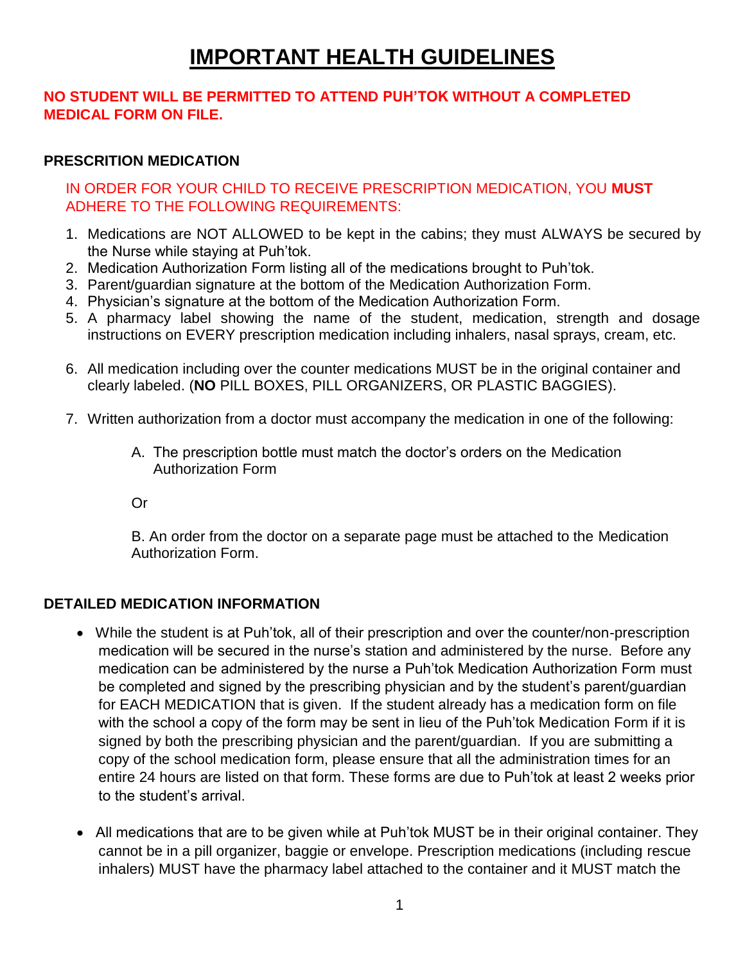# **IMPORTANT HEALTH GUIDELINES**

## **NO STUDENT WILL BE PERMITTED TO ATTEND PUH'TOK WITHOUT A COMPLETED MEDICAL FORM ON FILE.**

## **PRESCRITION MEDICATION**

IN ORDER FOR YOUR CHILD TO RECEIVE PRESCRIPTION MEDICATION, YOU **MUST** ADHERE TO THE FOLLOWING REQUIREMENTS:

- 1. Medications are NOT ALLOWED to be kept in the cabins; they must ALWAYS be secured by the Nurse while staying at Puh'tok.
- 2. Medication Authorization Form listing all of the medications brought to Puh'tok.
- 3. Parent/guardian signature at the bottom of the Medication Authorization Form.
- 4. Physician's signature at the bottom of the Medication Authorization Form.
- 5. A pharmacy label showing the name of the student, medication, strength and dosage instructions on EVERY prescription medication including inhalers, nasal sprays, cream, etc.
- 6. All medication including over the counter medications MUST be in the original container and clearly labeled. (**NO** PILL BOXES, PILL ORGANIZERS, OR PLASTIC BAGGIES).
- 7. Written authorization from a doctor must accompany the medication in one of the following:
	- A. The prescription bottle must match the doctor's orders on the Medication Authorization Form

Or

B. An order from the doctor on a separate page must be attached to the Medication Authorization Form.

## **DETAILED MEDICATION INFORMATION**

- While the student is at Puh'tok, all of their prescription and over the counter/non-prescription medication will be secured in the nurse's station and administered by the nurse. Before any medication can be administered by the nurse a Puh'tok Medication Authorization Form must be completed and signed by the prescribing physician and by the student's parent/guardian for EACH MEDICATION that is given. If the student already has a medication form on file with the school a copy of the form may be sent in lieu of the Puh'tok Medication Form if it is signed by both the prescribing physician and the parent/guardian. If you are submitting a copy of the school medication form, please ensure that all the administration times for an entire 24 hours are listed on that form. These forms are due to Puh'tok at least 2 weeks prior to the student's arrival.
- All medications that are to be given while at Puh'tok MUST be in their original container. They cannot be in a pill organizer, baggie or envelope. Prescription medications (including rescue inhalers) MUST have the pharmacy label attached to the container and it MUST match the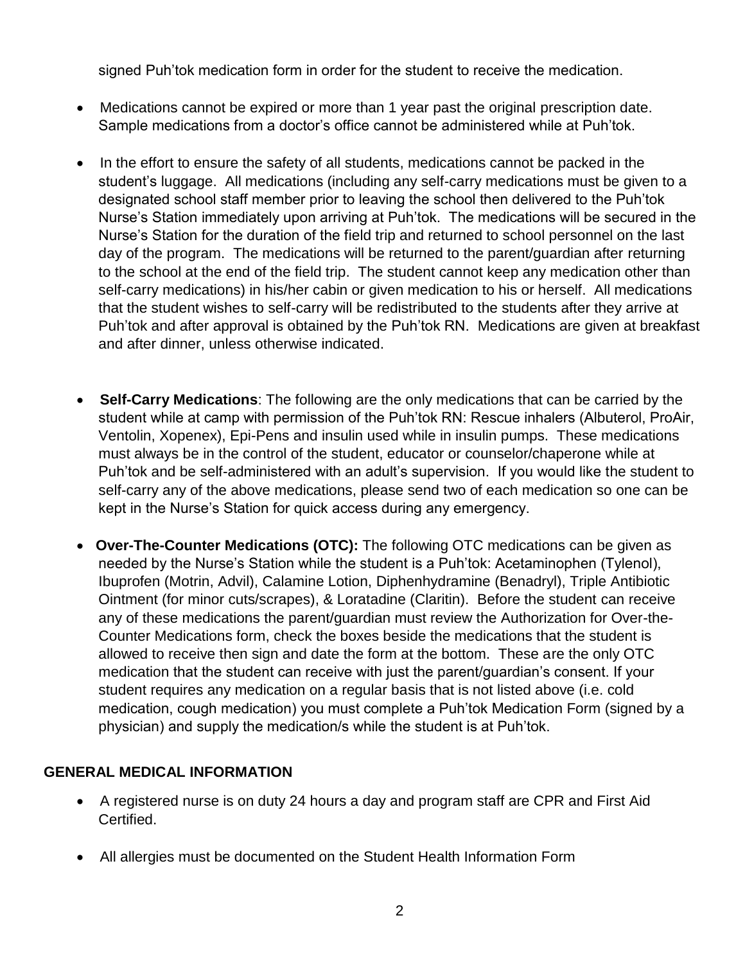signed Puh'tok medication form in order for the student to receive the medication.

- Medications cannot be expired or more than 1 year past the original prescription date. Sample medications from a doctor's office cannot be administered while at Puh'tok.
- In the effort to ensure the safety of all students, medications cannot be packed in the student's luggage. All medications (including any self-carry medications must be given to a designated school staff member prior to leaving the school then delivered to the Puh'tok Nurse's Station immediately upon arriving at Puh'tok. The medications will be secured in the Nurse's Station for the duration of the field trip and returned to school personnel on the last day of the program. The medications will be returned to the parent/guardian after returning to the school at the end of the field trip. The student cannot keep any medication other than self-carry medications) in his/her cabin or given medication to his or herself. All medications that the student wishes to self-carry will be redistributed to the students after they arrive at Puh'tok and after approval is obtained by the Puh'tok RN. Medications are given at breakfast and after dinner, unless otherwise indicated.
- • **Self-Carry Medications**: The following are the only medications that can be carried by the student while at camp with permission of the Puh'tok RN: Rescue inhalers (Albuterol, ProAir, Ventolin, Xopenex), Epi-Pens and insulin used while in insulin pumps. These medications must always be in the control of the student, educator or counselor/chaperone while at Puh'tok and be self-administered with an adult's supervision. If you would like the student to self-carry any of the above medications, please send two of each medication so one can be kept in the Nurse's Station for quick access during any emergency.
- • **Over-The-Counter Medications (OTC):** The following OTC medications can be given as needed by the Nurse's Station while the student is a Puh'tok: Acetaminophen (Tylenol), Ibuprofen (Motrin, Advil), Calamine Lotion, Diphenhydramine (Benadryl), Triple Antibiotic Ointment (for minor cuts/scrapes), & Loratadine (Claritin). Before the student can receive any of these medications the parent/guardian must review the Authorization for Over-the-Counter Medications form, check the boxes beside the medications that the student is allowed to receive then sign and date the form at the bottom. These are the only OTC medication that the student can receive with just the parent/guardian's consent. If your student requires any medication on a regular basis that is not listed above (i.e. cold medication, cough medication) you must complete a Puh'tok Medication Form (signed by a physician) and supply the medication/s while the student is at Puh'tok.

## **GENERAL MEDICAL INFORMATION**

- A registered nurse is on duty 24 hours a day and program staff are CPR and First Aid Certified.
- All allergies must be documented on the Student Health Information Form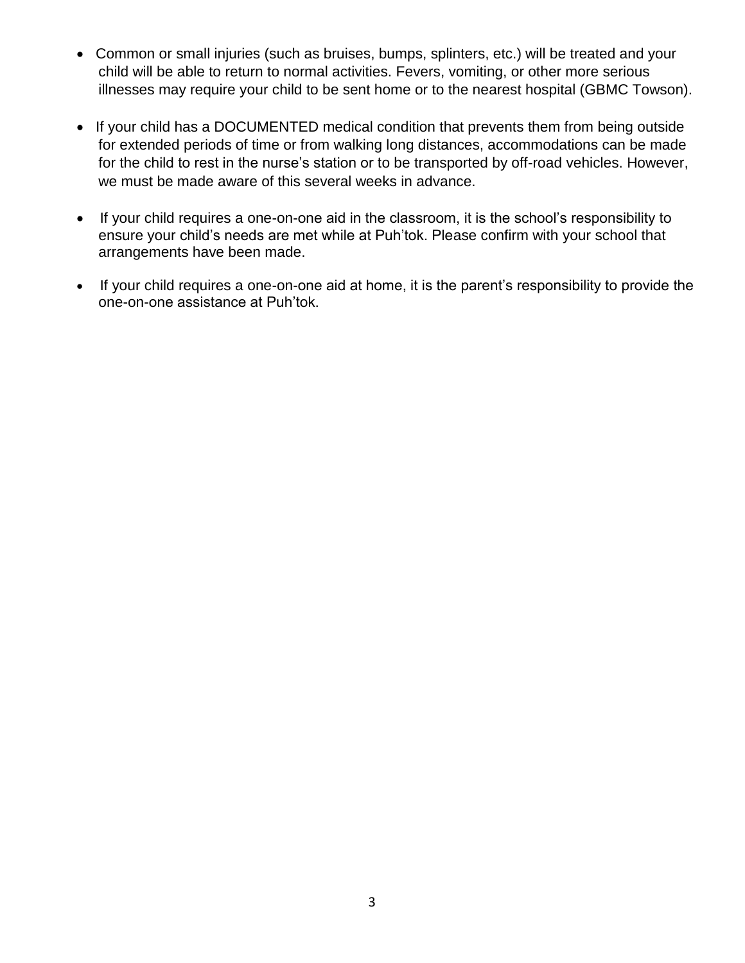- Common or small injuries (such as bruises, bumps, splinters, etc.) will be treated and your child will be able to return to normal activities. Fevers, vomiting, or other more serious illnesses may require your child to be sent home or to the nearest hospital (GBMC Towson).
- If your child has a DOCUMENTED medical condition that prevents them from being outside for extended periods of time or from walking long distances, accommodations can be made for the child to rest in the nurse's station or to be transported by off-road vehicles. However, we must be made aware of this several weeks in advance.
- If your child requires a one-on-one aid in the classroom, it is the school's responsibility to ensure your child's needs are met while at Puh'tok. Please confirm with your school that arrangements have been made.
- If your child requires a one-on-one aid at home, it is the parent's responsibility to provide the one-on-one assistance at Puh'tok.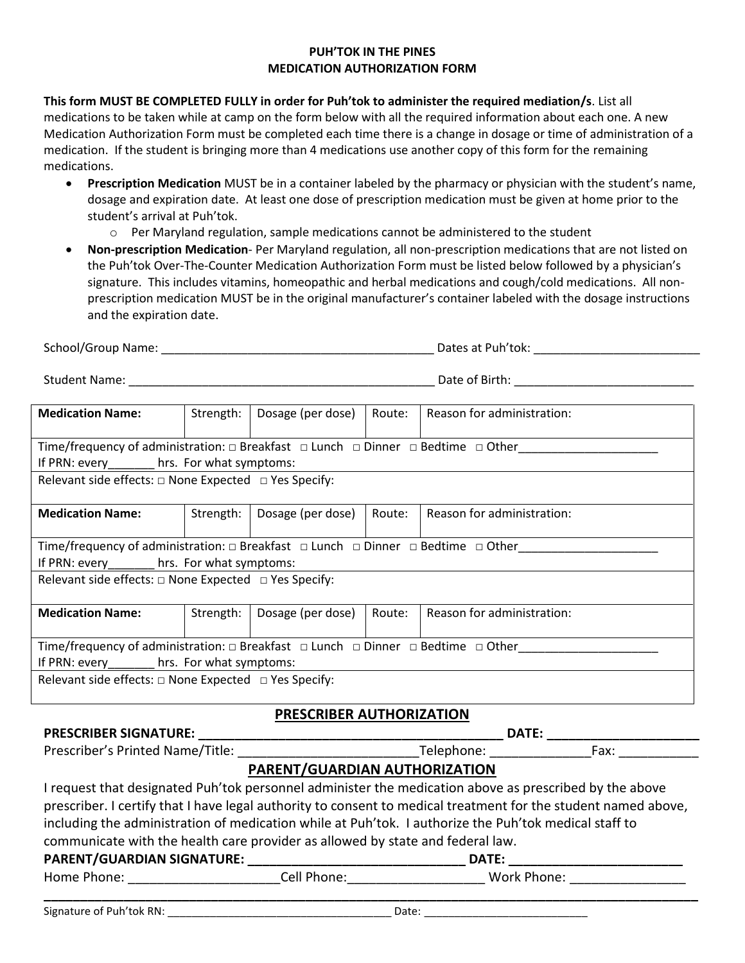#### **PUH'TOK IN THE PINES MEDICATION AUTHORIZATION FORM**

**This form MUST BE COMPLETED FULLY in order for Puh'tok to administer the required mediation/s**. List all medications to be taken while at camp on the form below with all the required information about each one. A new Medication Authorization Form must be completed each time there is a change in dosage or time of administration of a medication. If the student is bringing more than 4 medications use another copy of this form for the remaining medications.

- **Prescription Medication** MUST be in a container labeled by the pharmacy or physician with the student's name, dosage and expiration date. At least one dose of prescription medication must be given at home prior to the student's arrival at Puh'tok.
	- $\circ$  Per Maryland regulation, sample medications cannot be administered to the student
- **Non-prescription Medication** Per Maryland regulation, all non-prescription medications that are not listed on the Puh'tok Over-The-Counter Medication Authorization Form must be listed below followed by a physician's signature. This includes vitamins, homeopathic and herbal medications and cough/cold medications. All nonprescription medication MUST be in the original manufacturer's container labeled with the dosage instructions and the expiration date.

| <b>Medication Name:</b>                                                                                        | Strength: | Dosage (per dose)               | Route: | Reason for administration: |  |
|----------------------------------------------------------------------------------------------------------------|-----------|---------------------------------|--------|----------------------------|--|
| Time/frequency of administration: □ Breakfast □ Lunch □ Dinner □ Bedtime □ Other                               |           |                                 |        |                            |  |
| If PRN: every_________ hrs. For what symptoms:                                                                 |           |                                 |        |                            |  |
| Relevant side effects: $\square$ None Expected $\square$ Yes Specify:                                          |           |                                 |        |                            |  |
| <b>Medication Name:</b>                                                                                        | Strength: | Dosage (per dose)               | Route: | Reason for administration: |  |
| Time/frequency of administration: □ Breakfast □ Lunch □ Dinner □ Bedtime □ Other                               |           |                                 |        |                            |  |
| If PRN: every__________hrs. For what symptoms:                                                                 |           |                                 |        |                            |  |
| Relevant side effects: $\square$ None Expected $\square$ Yes Specify:                                          |           |                                 |        |                            |  |
| <b>Medication Name:</b>                                                                                        | Strength: | Dosage (per dose)               | Route: | Reason for administration: |  |
| Time/frequency of administration: $\Box$ Breakfast $\Box$ Lunch $\Box$ Dinner $\Box$ Bedtime $\Box$ Other      |           |                                 |        |                            |  |
| If PRN: every_________ hrs. For what symptoms:                                                                 |           |                                 |        |                            |  |
| Relevant side effects: $\square$ None Expected $\square$ Yes Specify:                                          |           |                                 |        |                            |  |
|                                                                                                                |           | <b>PRESCRIBER AUTHORIZATION</b> |        |                            |  |
|                                                                                                                |           |                                 |        |                            |  |
|                                                                                                                |           |                                 |        |                            |  |
|                                                                                                                |           | PARENT/GUARDIAN AUTHORIZATION   |        |                            |  |
| I request that designated Puh'tok personnel administer the medication above as prescribed by the above         |           |                                 |        |                            |  |
| prescriber. I certify that I have legal authority to consent to medical treatment for the student named above, |           |                                 |        |                            |  |
| including the administration of medication while at Puh'tok. I authorize the Puh'tok medical staff to          |           |                                 |        |                            |  |
| communicate with the health care provider as allowed by state and federal law.                                 |           |                                 |        |                            |  |
| <b>DATE:</b>                                                                                                   |           |                                 |        |                            |  |

| Home Phone: | . ااه^ | <b>Work</b><br>ткле |
|-------------|--------|---------------------|
|             |        |                     |
|             |        |                     |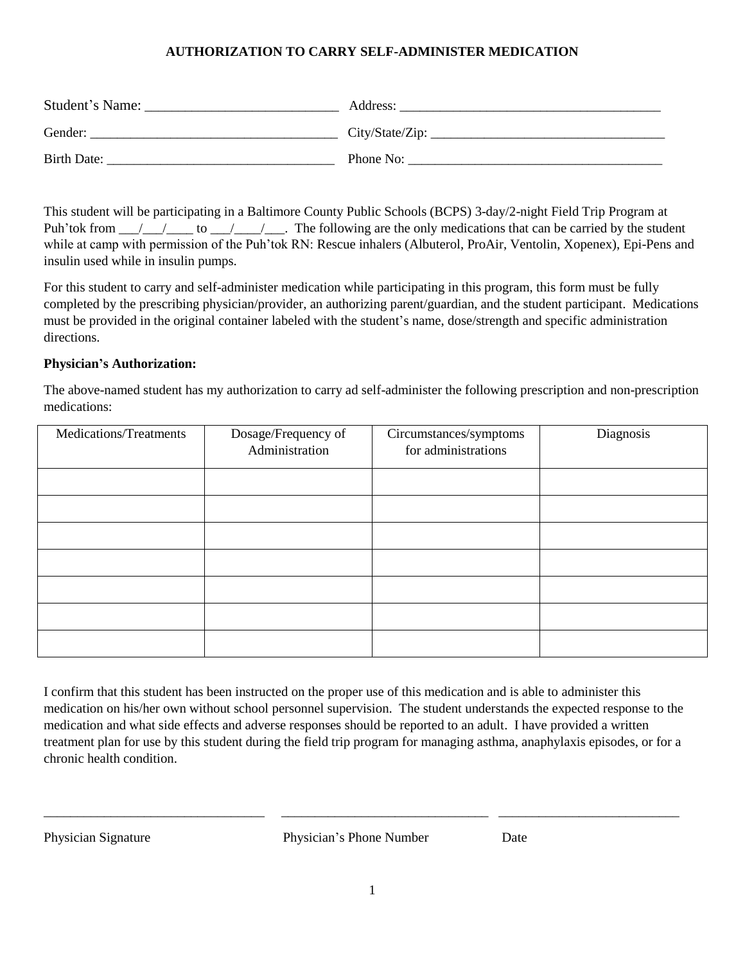#### **AUTHORIZATION TO CARRY SELF-ADMINISTER MEDICATION**

| Student's Name: | Address:        |
|-----------------|-----------------|
| Gender:         | City/State/Zip: |
| Birth Date:     | Phone No:       |

This student will be participating in a Baltimore County Public Schools (BCPS) 3-day/2-night Field Trip Program at Puh'tok from  $\ell$   $\ell$  to  $\ell$   $\ell$ . The following are the only medications that can be carried by the student while at camp with permission of the Puh'tok RN: Rescue inhalers (Albuterol, ProAir, Ventolin, Xopenex), Epi-Pens and insulin used while in insulin pumps.

For this student to carry and self-administer medication while participating in this program, this form must be fully completed by the prescribing physician/provider, an authorizing parent/guardian, and the student participant. Medications must be provided in the original container labeled with the student's name, dose/strength and specific administration directions.

#### **Physician's Authorization:**

The above-named student has my authorization to carry ad self-administer the following prescription and non-prescription medications:

| Medications/Treatments | Dosage/Frequency of<br>Administration | Circumstances/symptoms<br>for administrations | Diagnosis |
|------------------------|---------------------------------------|-----------------------------------------------|-----------|
|                        |                                       |                                               |           |
|                        |                                       |                                               |           |
|                        |                                       |                                               |           |
|                        |                                       |                                               |           |
|                        |                                       |                                               |           |
|                        |                                       |                                               |           |
|                        |                                       |                                               |           |

I confirm that this student has been instructed on the proper use of this medication and is able to administer this medication on his/her own without school personnel supervision. The student understands the expected response to the medication and what side effects and adverse responses should be reported to an adult. I have provided a written treatment plan for use by this student during the field trip program for managing asthma, anaphylaxis episodes, or for a chronic health condition.

Physician Signature Physician's Phone Number Date

\_\_\_\_\_\_\_\_\_\_\_\_\_\_\_\_\_\_\_\_\_\_\_\_\_\_\_\_\_\_\_\_\_ \_\_\_\_\_\_\_\_\_\_\_\_\_\_\_\_\_\_\_\_\_\_\_\_\_\_\_\_\_\_\_ \_\_\_\_\_\_\_\_\_\_\_\_\_\_\_\_\_\_\_\_\_\_\_\_\_\_\_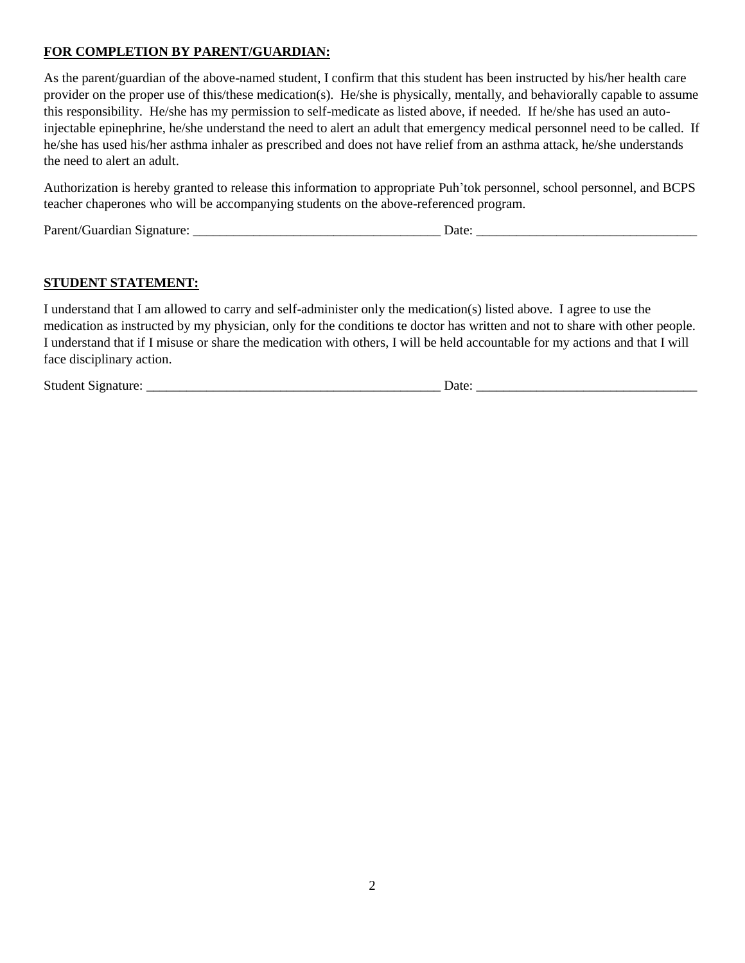#### **FOR COMPLETION BY PARENT/GUARDIAN:**

As the parent/guardian of the above-named student, I confirm that this student has been instructed by his/her health care provider on the proper use of this/these medication(s). He/she is physically, mentally, and behaviorally capable to assume this responsibility. He/she has my permission to self-medicate as listed above, if needed. If he/she has used an autoinjectable epinephrine, he/she understand the need to alert an adult that emergency medical personnel need to be called. If he/she has used his/her asthma inhaler as prescribed and does not have relief from an asthma attack, he/she understands the need to alert an adult.

Authorization is hereby granted to release this information to appropriate Puh'tok personnel, school personnel, and BCPS teacher chaperones who will be accompanying students on the above-referenced program.

Parent/Guardian Signature: \_\_\_\_\_\_\_\_\_\_\_\_\_\_\_\_\_\_\_\_\_\_\_\_\_\_\_\_\_\_\_\_\_\_\_\_\_ Date: \_\_\_\_\_\_\_\_\_\_\_\_\_\_\_\_\_\_\_\_\_\_\_\_\_\_\_\_\_\_\_\_\_

#### **STUDENT STATEMENT:**

I understand that I am allowed to carry and self-administer only the medication(s) listed above. I agree to use the medication as instructed by my physician, only for the conditions te doctor has written and not to share with other people. I understand that if I misuse or share the medication with others, I will be held accountable for my actions and that I will face disciplinary action.

Student Signature: \_\_\_\_\_\_\_\_\_\_\_\_\_\_\_\_\_\_\_\_\_\_\_\_\_\_\_\_\_\_\_\_\_\_\_\_\_\_\_\_\_\_\_\_ Date: \_\_\_\_\_\_\_\_\_\_\_\_\_\_\_\_\_\_\_\_\_\_\_\_\_\_\_\_\_\_\_\_\_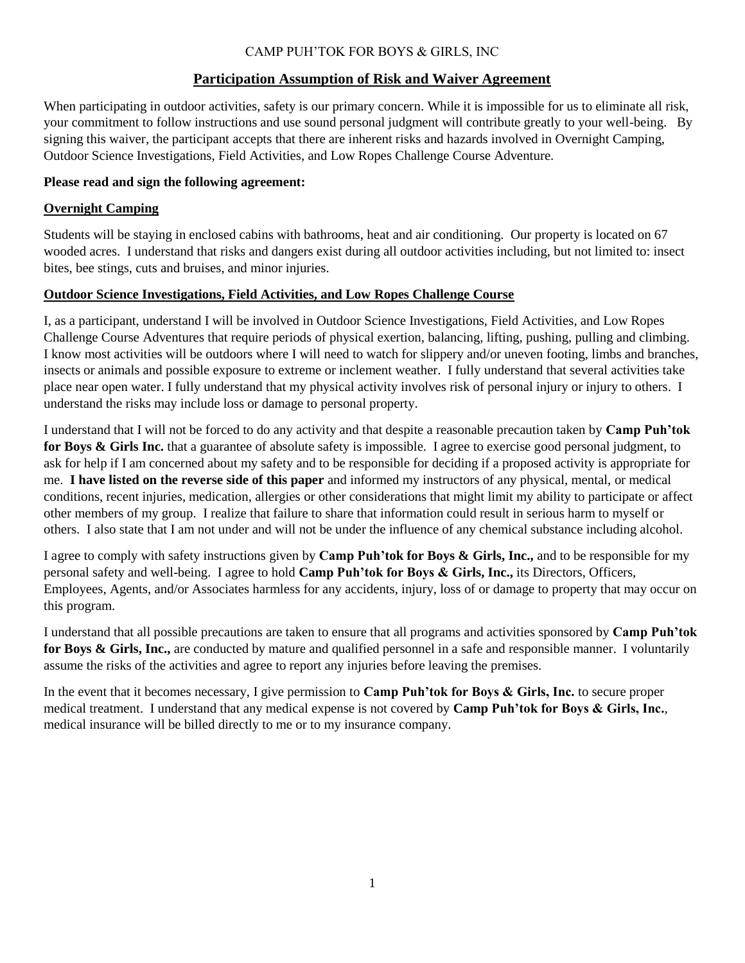#### CAMP PUH'TOK FOR BOYS & GIRLS, INC

#### **Participation Assumption of Risk and Waiver Agreement**

When participating in outdoor activities, safety is our primary concern. While it is impossible for us to eliminate all risk, your commitment to follow instructions and use sound personal judgment will contribute greatly to your well-being. By signing this waiver, the participant accepts that there are inherent risks and hazards involved in Overnight Camping, Outdoor Science Investigations, Field Activities, and Low Ropes Challenge Course Adventure.

#### **Please read and sign the following agreement:**

#### **Overnight Camping**

Students will be staying in enclosed cabins with bathrooms, heat and air conditioning. Our property is located on 67 wooded acres. I understand that risks and dangers exist during all outdoor activities including, but not limited to: insect bites, bee stings, cuts and bruises, and minor injuries.

#### **Outdoor Science Investigations, Field Activities, and Low Ropes Challenge Course**

I, as a participant, understand I will be involved in Outdoor Science Investigations, Field Activities, and Low Ropes Challenge Course Adventures that require periods of physical exertion, balancing, lifting, pushing, pulling and climbing. I know most activities will be outdoors where I will need to watch for slippery and/or uneven footing, limbs and branches, insects or animals and possible exposure to extreme or inclement weather. I fully understand that several activities take place near open water. I fully understand that my physical activity involves risk of personal injury or injury to others. I understand the risks may include loss or damage to personal property.

I understand that I will not be forced to do any activity and that despite a reasonable precaution taken by **Camp Puh'tok for Boys & Girls Inc.** that a guarantee of absolute safety is impossible. I agree to exercise good personal judgment, to ask for help if I am concerned about my safety and to be responsible for deciding if a proposed activity is appropriate for me. **I have listed on the reverse side of this paper** and informed my instructors of any physical, mental, or medical conditions, recent injuries, medication, allergies or other considerations that might limit my ability to participate or affect other members of my group. I realize that failure to share that information could result in serious harm to myself or others. I also state that I am not under and will not be under the influence of any chemical substance including alcohol.

I agree to comply with safety instructions given by **Camp Puh'tok for Boys & Girls, Inc.,** and to be responsible for my personal safety and well-being. I agree to hold **Camp Puh'tok for Boys & Girls, Inc.,** its Directors, Officers, Employees, Agents, and/or Associates harmless for any accidents, injury, loss of or damage to property that may occur on this program.

I understand that all possible precautions are taken to ensure that all programs and activities sponsored by **Camp Puh'tok for Boys & Girls, Inc.,** are conducted by mature and qualified personnel in a safe and responsible manner. I voluntarily assume the risks of the activities and agree to report any injuries before leaving the premises.

In the event that it becomes necessary, I give permission to **Camp Puh'tok for Boys & Girls, Inc.** to secure proper medical treatment. I understand that any medical expense is not covered by **Camp Puh'tok for Boys & Girls, Inc.**, medical insurance will be billed directly to me or to my insurance company.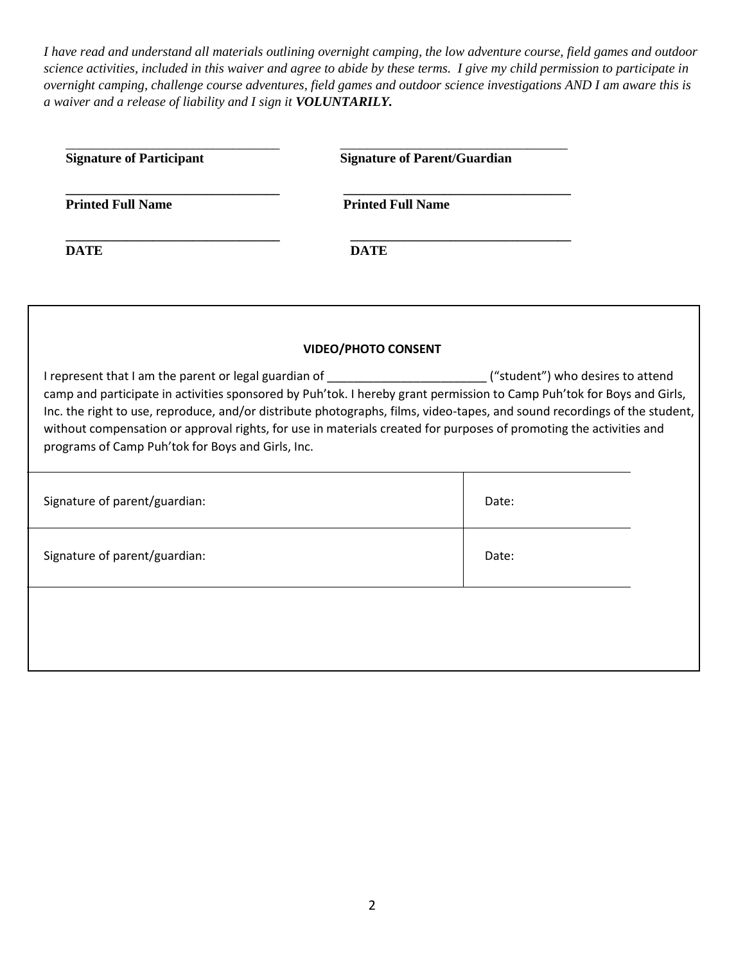*I have read and understand all materials outlining overnight camping, the low adventure course, field games and outdoor science activities, included in this waiver and agree to abide by these terms. I give my child permission to participate in overnight camping, challenge course adventures, field games and outdoor science investigations AND I am aware this is a waiver and a release of liability and I sign it VOLUNTARILY.*

| <b>Signature of Participant</b>                                                                                                                                                                                                                                                                                                                                                                                                                                                                                                                    | <b>Signature of Parent/Guardian</b> |       |  |
|----------------------------------------------------------------------------------------------------------------------------------------------------------------------------------------------------------------------------------------------------------------------------------------------------------------------------------------------------------------------------------------------------------------------------------------------------------------------------------------------------------------------------------------------------|-------------------------------------|-------|--|
| <b>Printed Full Name</b>                                                                                                                                                                                                                                                                                                                                                                                                                                                                                                                           | <b>Printed Full Name</b>            |       |  |
| <b>DATE</b>                                                                                                                                                                                                                                                                                                                                                                                                                                                                                                                                        | <b>DATE</b>                         |       |  |
|                                                                                                                                                                                                                                                                                                                                                                                                                                                                                                                                                    | <b>VIDEO/PHOTO CONSENT</b>          |       |  |
| I represent that I am the parent or legal guardian of _________________________("student") who desires to attend<br>camp and participate in activities sponsored by Puh'tok. I hereby grant permission to Camp Puh'tok for Boys and Girls,<br>Inc. the right to use, reproduce, and/or distribute photographs, films, video-tapes, and sound recordings of the student,<br>without compensation or approval rights, for use in materials created for purposes of promoting the activities and<br>programs of Camp Puh'tok for Boys and Girls, Inc. |                                     |       |  |
| Signature of parent/guardian:                                                                                                                                                                                                                                                                                                                                                                                                                                                                                                                      |                                     | Date: |  |
| Signature of parent/guardian:                                                                                                                                                                                                                                                                                                                                                                                                                                                                                                                      |                                     | Date: |  |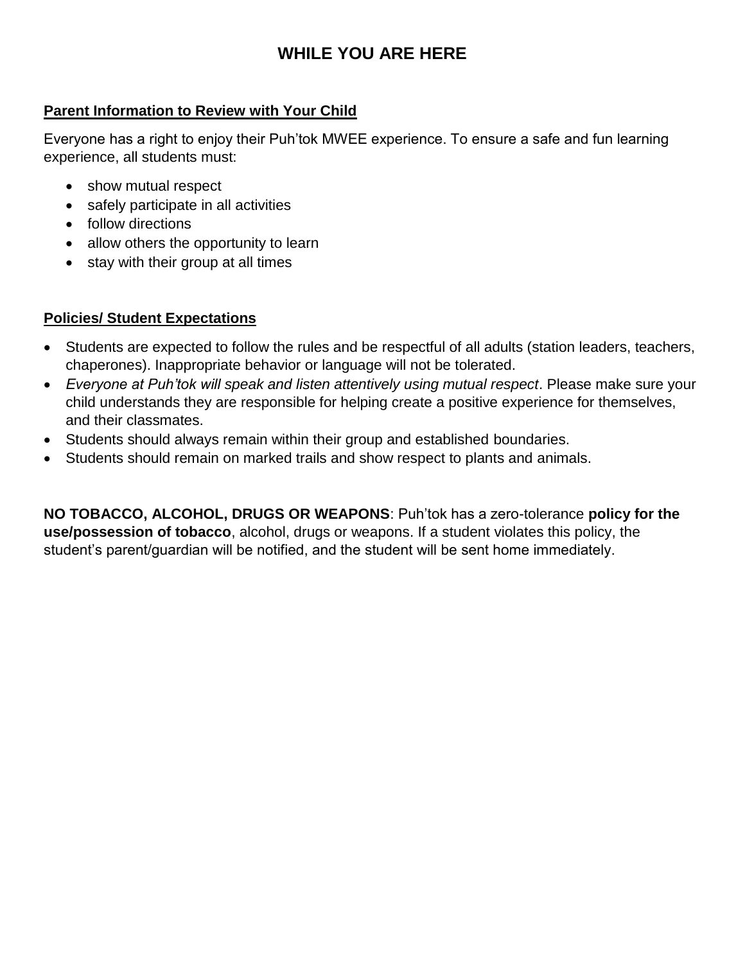## **WHILE YOU ARE HERE**

## **Parent Information to Review with Your Child**

Everyone has a right to enjoy their Puh'tok MWEE experience. To ensure a safe and fun learning experience, all students must:

- show mutual respect
- safely participate in all activities
- follow directions
- allow others the opportunity to learn
- stay with their group at all times

## **Policies/ Student Expectations**

- Students are expected to follow the rules and be respectful of all adults (station leaders, teachers, chaperones). Inappropriate behavior or language will not be tolerated.
- *Everyone at Puh'tok will speak and listen attentively using mutual respect*. Please make sure your child understands they are responsible for helping create a positive experience for themselves, and their classmates.
- Students should always remain within their group and established boundaries.
- Students should remain on marked trails and show respect to plants and animals.

**NO TOBACCO, ALCOHOL, DRUGS OR WEAPONS**: Puh'tok has a zero-tolerance **policy for the use/possession of tobacco**, alcohol, drugs or weapons. If a student violates this policy, the student's parent/guardian will be notified, and the student will be sent home immediately.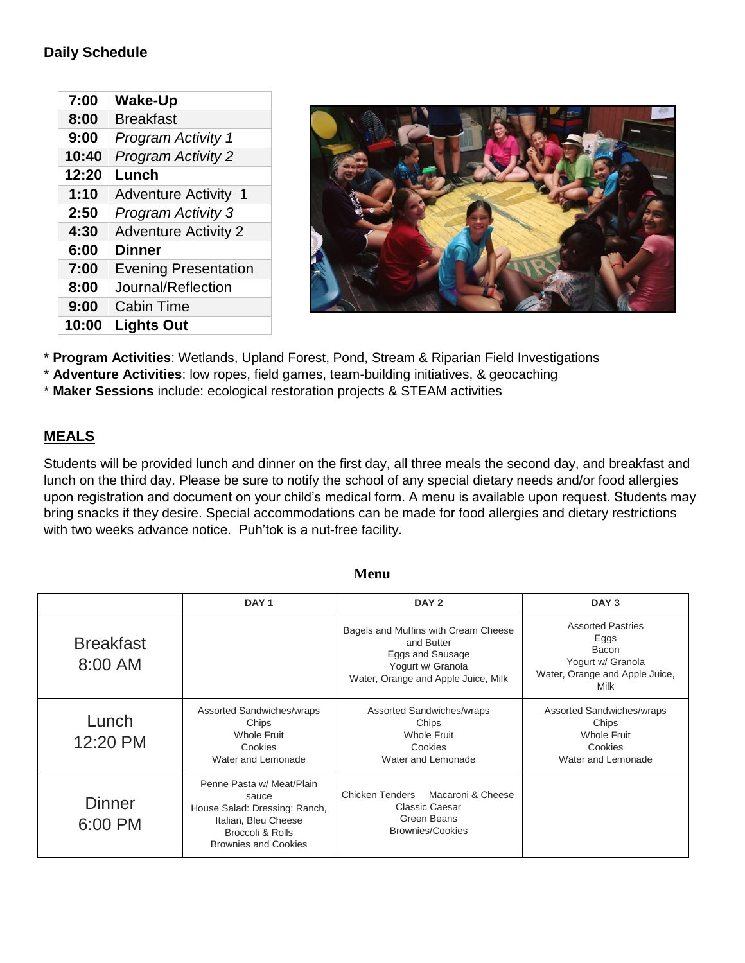## **Daily Schedule**

| 7:00  |                             |
|-------|-----------------------------|
|       | <b>Wake-Up</b>              |
| 8:00  | <b>Breakfast</b>            |
| 9:00  | <b>Program Activity 1</b>   |
| 10:40 | <b>Program Activity 2</b>   |
| 12:20 | Lunch                       |
| 1:10  | <b>Adventure Activity 1</b> |
| 2:50  | <b>Program Activity 3</b>   |
| 4:30  | <b>Adventure Activity 2</b> |
| 6:00  | <b>Dinner</b>               |
| 7:00  | <b>Evening Presentation</b> |
| 8:00  | Journal/Reflection          |
| 9:00  | <b>Cabin Time</b>           |
| 10:00 | <b>Lights Out</b>           |



\* **Program Activities**: Wetlands, Upland Forest, Pond, Stream & Riparian Field Investigations

\* **Adventure Activities**: low ropes, field games, team-building initiatives, & geocaching

\* **Maker Sessions** include: ecological restoration projects & STEAM activities

### **MEALS**

Students will be provided lunch and dinner on the first day, all three meals the second day, and breakfast and lunch on the third day. Please be sure to notify the school of any special dietary needs and/or food allergies upon registration and document on your child's medical form. A menu is available upon request. Students may bring snacks if they desire. Special accommodations can be made for food allergies and dietary restrictions with two weeks advance notice. Puh'tok is a nut-free facility.

|                               | DAY <sub>1</sub>                                                                                                                               | DAY <sub>2</sub>                                                                                                                   | DAY <sub>3</sub>                                                                                         |
|-------------------------------|------------------------------------------------------------------------------------------------------------------------------------------------|------------------------------------------------------------------------------------------------------------------------------------|----------------------------------------------------------------------------------------------------------|
| <b>Breakfast</b><br>$8:00$ AM |                                                                                                                                                | Bagels and Muffins with Cream Cheese<br>and Butter<br>Eggs and Sausage<br>Yogurt w/ Granola<br>Water, Orange and Apple Juice, Milk | <b>Assorted Pastries</b><br>Eggs<br>Bacon<br>Yogurt w/ Granola<br>Water, Orange and Apple Juice,<br>Milk |
| Lunch<br>12:20 PM             | <b>Assorted Sandwiches/wraps</b><br>Chips<br><b>Whole Fruit</b><br>Cookies<br>Water and Lemonade                                               | Assorted Sandwiches/wraps<br>Chips<br>Whole Fruit<br>Cookies<br>Water and Lemonade                                                 | Assorted Sandwiches/wraps<br>Chips<br>Whole Fruit<br>Cookies<br>Water and Lemonade                       |
| Dinner<br>6:00 PM             | Penne Pasta w/ Meat/Plain<br>sauce<br>House Salad: Dressing: Ranch,<br>Italian, Bleu Cheese<br>Broccoli & Rolls<br><b>Brownies and Cookies</b> | Macaroni & Cheese<br>Chicken Tenders<br><b>Classic Caesar</b><br>Green Beans<br>Brownies/Cookies                                   |                                                                                                          |

#### **Menu**